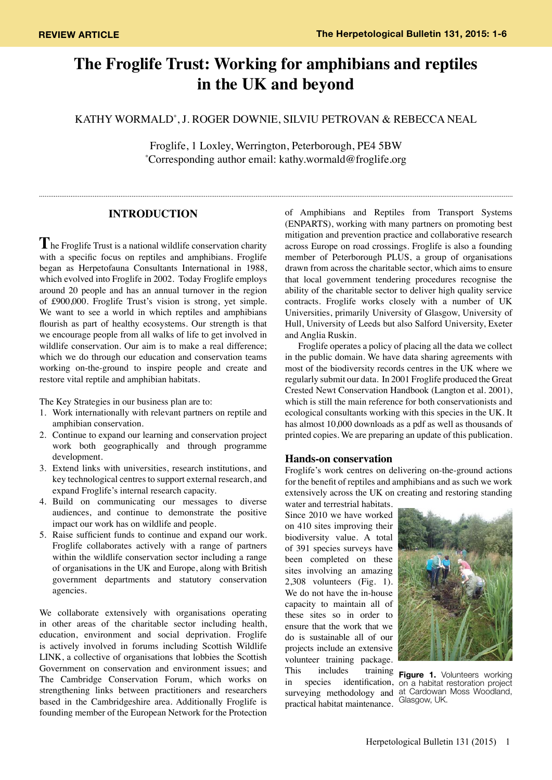# **The Froglife Trust: Working for amphibians and reptiles in the UK and beyond**

KATHY WORMALD\* , J. ROGER DOWNIE, SILVIU PETROVAN & REBECCA NEAL

Froglife, 1 Loxley, Werrington, Peterborough, PE4 5BW \* Corresponding author email: kathy.wormald@froglife.org

## **INTRODUCTION**

**T**he Froglife Trust is a national wildlife conservation charity with a specific focus on reptiles and amphibians. Froglife began as Herpetofauna Consultants International in 1988, which evolved into Froglife in 2002. Today Froglife employs around 20 people and has an annual turnover in the region of £900,000. Froglife Trust's vision is strong, yet simple. We want to see a world in which reptiles and amphibians flourish as part of healthy ecosystems. Our strength is that we encourage people from all walks of life to get involved in wildlife conservation. Our aim is to make a real difference; which we do through our education and conservation teams working on-the-ground to inspire people and create and restore vital reptile and amphibian habitats.

The Key Strategies in our business plan are to:

- 1. Work internationally with relevant partners on reptile and amphibian conservation.
- 2. Continue to expand our learning and conservation project work both geographically and through programme development.
- 3. Extend links with universities, research institutions, and key technological centres to support external research, and expand Froglife's internal research capacity.
- 4. Build on communicating our messages to diverse audiences, and continue to demonstrate the positive impact our work has on wildlife and people.
- 5. Raise sufficient funds to continue and expand our work. Froglife collaborates actively with a range of partners within the wildlife conservation sector including a range of organisations in the UK and Europe, along with British government departments and statutory conservation agencies.

We collaborate extensively with organisations operating in other areas of the charitable sector including health, education, environment and social deprivation. Froglife is actively involved in forums including Scottish Wildlife LINK, a collective of organisations that lobbies the Scottish Government on conservation and environment issues; and The Cambridge Conservation Forum, which works on strengthening links between practitioners and researchers based in the Cambridgeshire area. Additionally Froglife is founding member of the European Network for the Protection

of Amphibians and Reptiles from Transport Systems (ENPARTS), working with many partners on promoting best mitigation and prevention practice and collaborative research across Europe on road crossings. Froglife is also a founding member of Peterborough PLUS, a group of organisations drawn from across the charitable sector, which aims to ensure that local government tendering procedures recognise the ability of the charitable sector to deliver high quality service contracts. Froglife works closely with a number of UK Universities, primarily University of Glasgow, University of Hull, University of Leeds but also Salford University, Exeter and Anglia Ruskin.

Froglife operates a policy of placing all the data we collect in the public domain. We have data sharing agreements with most of the biodiversity records centres in the UK where we regularly submit our data. In 2001 Froglife produced the Great Crested Newt Conservation Handbook (Langton et al. 2001), which is still the main reference for both conservationists and ecological consultants working with this species in the UK. It has almost 10,000 downloads as a pdf as well as thousands of printed copies. We are preparing an update of this publication.

## **Hands-on conservation**

Froglife's work centres on delivering on-the-ground actions for the benefit of reptiles and amphibians and as such we work extensively across the UK on creating and restoring standing

water and terrestrial habitats. Since 2010 we have worked on 410 sites improving their biodiversity value. A total of 391 species surveys have been completed on these sites involving an amazing 2,308 volunteers (Fig. 1). We do not have the in-house capacity to maintain all of these sites so in order to ensure that the work that we do is sustainable all of our projects include an extensive volunteer training package. This includes training **Figure 1.** Volunteers working surveying methodology and practical habitat maintenance.



in species identification, on a habitat restoration project at Cardowan Moss Woodland, Glasgow, UK.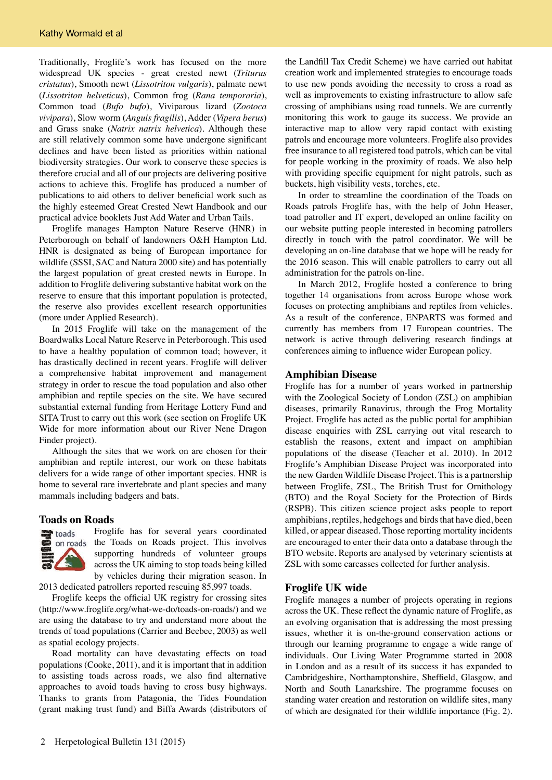Traditionally, Froglife's work has focused on the more widespread UK species - great crested newt (*Triturus cristatus*), Smooth newt (*Lissotriton vulgaris*), palmate newt (*Lissotriton helveticus*), Common frog (*Rana temporaria*), Common toad (*Bufo bufo*), Viviparous lizard (*Zootoca vivipara*), Slow worm (*Anguis fragilis*), Adder (*Vipera berus*) and Grass snake (*Natrix natrix helvetica*). Although these are still relatively common some have undergone significant declines and have been listed as priorities within national biodiversity strategies. Our work to conserve these species is therefore crucial and all of our projects are delivering positive actions to achieve this. Froglife has produced a number of publications to aid others to deliver beneficial work such as the highly esteemed Great Crested Newt Handbook and our practical advice booklets Just Add Water and Urban Tails.

Froglife manages Hampton Nature Reserve (HNR) in Peterborough on behalf of landowners O&H Hampton Ltd. HNR is designated as being of European importance for wildlife (SSSI, SAC and Natura 2000 site) and has potentially the largest population of great crested newts in Europe. In addition to Froglife delivering substantive habitat work on the reserve to ensure that this important population is protected, the reserve also provides excellent research opportunities (more under Applied Research).

In 2015 Froglife will take on the management of the Boardwalks Local Nature Reserve in Peterborough. This used to have a healthy population of common toad; however, it has drastically declined in recent years. Froglife will deliver a comprehensive habitat improvement and management strategy in order to rescue the toad population and also other amphibian and reptile species on the site. We have secured substantial external funding from Heritage Lottery Fund and SITA Trust to carry out this work (see section on Froglife UK Wide for more information about our River Nene Dragon Finder project).

Although the sites that we work on are chosen for their amphibian and reptile interest, our work on these habitats delivers for a wide range of other important species. HNR is home to several rare invertebrate and plant species and many mammals including badgers and bats.

## **Toads on Roads**



Froglife has for several years coordinated the Toads on Roads project. This involves supporting hundreds of volunteer groups across the UK aiming to stop toads being killed by vehicles during their migration season. In

2013 dedicated patrollers reported rescuing 85,997 toads.

Froglife keeps the official UK registry for crossing sites (http://www.froglife.org/what-we-do/toads-on-roads/) and we are using the database to try and understand more about the trends of toad populations (Carrier and Beebee, 2003) as well as spatial ecology projects.

Road mortality can have devastating effects on toad populations (Cooke, 2011), and it is important that in addition to assisting toads across roads, we also find alternative approaches to avoid toads having to cross busy highways. Thanks to grants from Patagonia, the Tides Foundation (grant making trust fund) and Biffa Awards (distributors of the Landfill Tax Credit Scheme) we have carried out habitat creation work and implemented strategies to encourage toads to use new ponds avoiding the necessity to cross a road as well as improvements to existing infrastructure to allow safe crossing of amphibians using road tunnels. We are currently monitoring this work to gauge its success. We provide an interactive map to allow very rapid contact with existing patrols and encourage more volunteers. Froglife also provides free insurance to all registered toad patrols, which can be vital for people working in the proximity of roads. We also help with providing specific equipment for night patrols, such as buckets, high visibility vests, torches, etc.

In order to streamline the coordination of the Toads on Roads patrols Froglife has, with the help of John Heaser, toad patroller and IT expert, developed an online facility on our website putting people interested in becoming patrollers directly in touch with the patrol coordinator. We will be developing an on-line database that we hope will be ready for the 2016 season. This will enable patrollers to carry out all administration for the patrols on-line.

In March 2012, Froglife hosted a conference to bring together 14 organisations from across Europe whose work focuses on protecting amphibians and reptiles from vehicles. As a result of the conference, ENPARTS was formed and currently has members from 17 European countries. The network is active through delivering research findings at conferences aiming to influence wider European policy.

#### **Amphibian Disease**

Froglife has for a number of years worked in partnership with the Zoological Society of London (ZSL) on amphibian diseases, primarily Ranavirus, through the Frog Mortality Project. Froglife has acted as the public portal for amphibian disease enquiries with ZSL carrying out vital research to establish the reasons, extent and impact on amphibian populations of the disease (Teacher et al. 2010). In 2012 Froglife's Amphibian Disease Project was incorporated into the new Garden Wildlife Disease Project. This is a partnership between Froglife, ZSL, The British Trust for Ornithology (BTO) and the Royal Society for the Protection of Birds (RSPB). This citizen science project asks people to report amphibians, reptiles, hedgehogs and birds that have died, been killed, or appear diseased. Those reporting mortality incidents are encouraged to enter their data onto a database through the BTO website. Reports are analysed by veterinary scientists at ZSL with some carcasses collected for further analysis.

## **Froglife UK wide**

Froglife manages a number of projects operating in regions across the UK. These reflect the dynamic nature of Froglife, as an evolving organisation that is addressing the most pressing issues, whether it is on-the-ground conservation actions or through our learning programme to engage a wide range of individuals. Our Living Water Programme started in 2008 in London and as a result of its success it has expanded to Cambridgeshire, Northamptonshire, Sheffield, Glasgow, and North and South Lanarkshire. The programme focuses on standing water creation and restoration on wildlife sites, many of which are designated for their wildlife importance (Fig. 2).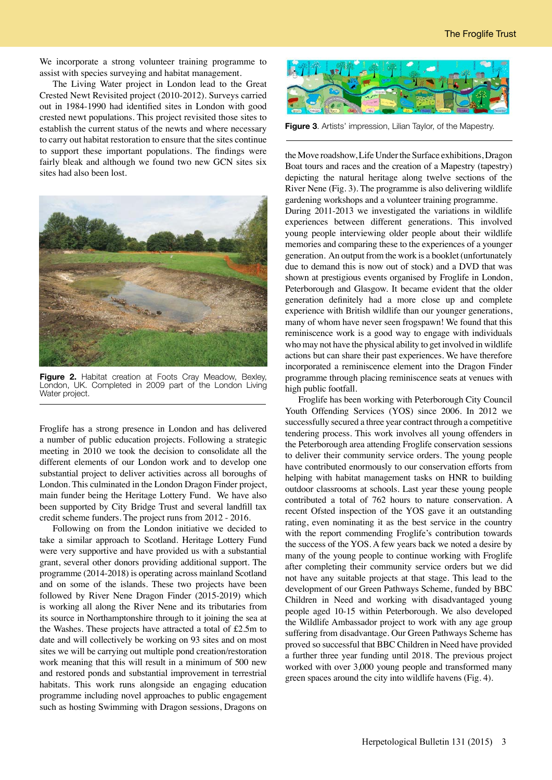We incorporate a strong volunteer training programme to assist with species surveying and habitat management.

The Living Water project in London lead to the Great Crested Newt Revisited project (2010-2012). Surveys carried out in 1984-1990 had identified sites in London with good crested newt populations. This project revisited those sites to establish the current status of the newts and where necessary to carry out habitat restoration to ensure that the sites continue to support these important populations. The findings were fairly bleak and although we found two new GCN sites six sites had also been lost.



**Figure 2.** Habitat creation at Foots Cray Meadow, Bexley, London, UK. Completed in 2009 part of the London Living Water project.

Froglife has a strong presence in London and has delivered a number of public education projects. Following a strategic meeting in 2010 we took the decision to consolidate all the different elements of our London work and to develop one substantial project to deliver activities across all boroughs of London. This culminated in the London Dragon Finder project, main funder being the Heritage Lottery Fund. We have also been supported by City Bridge Trust and several landfill tax credit scheme funders. The project runs from 2012 - 2016.

Following on from the London initiative we decided to take a similar approach to Scotland. Heritage Lottery Fund were very supportive and have provided us with a substantial grant, several other donors providing additional support. The programme (2014-2018) is operating across mainland Scotland and on some of the islands. These two projects have been followed by River Nene Dragon Finder (2015-2019) which is working all along the River Nene and its tributaries from its source in Northamptonshire through to it joining the sea at the Washes. These projects have attracted a total of £2.5m to date and will collectively be working on 93 sites and on most sites we will be carrying out multiple pond creation/restoration work meaning that this will result in a minimum of 500 new and restored ponds and substantial improvement in terrestrial habitats. This work runs alongside an engaging education programme including novel approaches to public engagement such as hosting Swimming with Dragon sessions, Dragons on



**Figure 3**. Artists' impression, Lilian Taylor, of the Mapestry.

the Move roadshow, Life Under the Surface exhibitions, Dragon Boat tours and races and the creation of a Mapestry (tapestry) depicting the natural heritage along twelve sections of the River Nene (Fig. 3). The programme is also delivering wildlife gardening workshops and a volunteer training programme.

During 2011-2013 we investigated the variations in wildlife experiences between different generations. This involved young people interviewing older people about their wildlife memories and comparing these to the experiences of a younger generation. An output from the work is a booklet (unfortunately due to demand this is now out of stock) and a DVD that was shown at prestigious events organised by Froglife in London, Peterborough and Glasgow. It became evident that the older generation definitely had a more close up and complete experience with British wildlife than our younger generations, many of whom have never seen frogspawn! We found that this reminiscence work is a good way to engage with individuals who may not have the physical ability to get involved in wildlife actions but can share their past experiences. We have therefore incorporated a reminiscence element into the Dragon Finder programme through placing reminiscence seats at venues with high public footfall.

Froglife has been working with Peterborough City Council Youth Offending Services (YOS) since 2006. In 2012 we successfully secured a three year contract through a competitive tendering process. This work involves all young offenders in the Peterborough area attending Froglife conservation sessions to deliver their community service orders. The young people have contributed enormously to our conservation efforts from helping with habitat management tasks on HNR to building outdoor classrooms at schools. Last year these young people contributed a total of 762 hours to nature conservation. A recent Ofsted inspection of the YOS gave it an outstanding rating, even nominating it as the best service in the country with the report commending Froglife's contribution towards the success of the YOS. A few years back we noted a desire by many of the young people to continue working with Froglife after completing their community service orders but we did not have any suitable projects at that stage. This lead to the development of our Green Pathways Scheme, funded by BBC Children in Need and working with disadvantaged young people aged 10-15 within Peterborough. We also developed the Wildlife Ambassador project to work with any age group suffering from disadvantage. Our Green Pathways Scheme has proved so successful that BBC Children in Need have provided a further three year funding until 2018. The previous project worked with over 3,000 young people and transformed many green spaces around the city into wildlife havens (Fig. 4).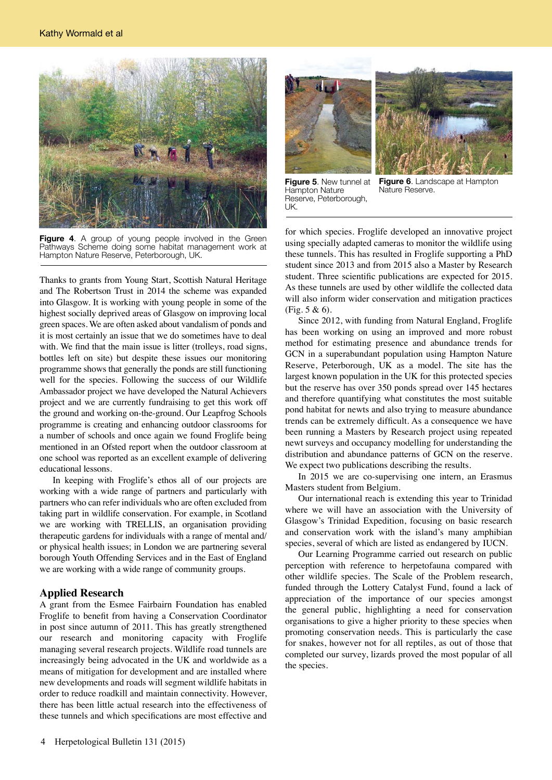

Figure 4. A group of young people involved in the Green Pathways Scheme doing some habitat management work at Hampton Nature Reserve, Peterborough, UK.

Thanks to grants from Young Start, Scottish Natural Heritage and The Robertson Trust in 2014 the scheme was expanded into Glasgow. It is working with young people in some of the highest socially deprived areas of Glasgow on improving local green spaces. We are often asked about vandalism of ponds and it is most certainly an issue that we do sometimes have to deal with. We find that the main issue is litter (trolleys, road signs, bottles left on site) but despite these issues our monitoring programme shows that generally the ponds are still functioning well for the species. Following the success of our Wildlife Ambassador project we have developed the Natural Achievers project and we are currently fundraising to get this work off the ground and working on-the-ground. Our Leapfrog Schools programme is creating and enhancing outdoor classrooms for a number of schools and once again we found Froglife being mentioned in an Ofsted report when the outdoor classroom at one school was reported as an excellent example of delivering educational lessons.

In keeping with Froglife's ethos all of our projects are working with a wide range of partners and particularly with partners who can refer individuals who are often excluded from taking part in wildlife conservation. For example, in Scotland we are working with TRELLIS, an organisation providing therapeutic gardens for individuals with a range of mental and/ or physical health issues; in London we are partnering several borough Youth Offending Services and in the East of England we are working with a wide range of community groups.

## **Applied Research**

A grant from the Esmee Fairbairn Foundation has enabled Froglife to benefit from having a Conservation Coordinator in post since autumn of 2011. This has greatly strengthened our research and monitoring capacity with Froglife managing several research projects. Wildlife road tunnels are increasingly being advocated in the UK and worldwide as a means of mitigation for development and are installed where new developments and roads will segment wildlife habitats in order to reduce roadkill and maintain connectivity. However, there has been little actual research into the effectiveness of these tunnels and which specifications are most effective and





**Figure 5**. New tunnel at Hampton Nature Reserve, Peterborough, UK.

**Figure 6**. Landscape at Hampton Nature Reserve.

for which species. Froglife developed an innovative project using specially adapted cameras to monitor the wildlife using these tunnels. This has resulted in Froglife supporting a PhD student since 2013 and from 2015 also a Master by Research student. Three scientific publications are expected for 2015. As these tunnels are used by other wildlife the collected data will also inform wider conservation and mitigation practices (Fig. 5 & 6).

Since 2012, with funding from Natural England, Froglife has been working on using an improved and more robust method for estimating presence and abundance trends for GCN in a superabundant population using Hampton Nature Reserve, Peterborough, UK as a model. The site has the largest known population in the UK for this protected species but the reserve has over 350 ponds spread over 145 hectares and therefore quantifying what constitutes the most suitable pond habitat for newts and also trying to measure abundance trends can be extremely difficult. As a consequence we have been running a Masters by Research project using repeated newt surveys and occupancy modelling for understanding the distribution and abundance patterns of GCN on the reserve. We expect two publications describing the results.

In 2015 we are co-supervising one intern, an Erasmus Masters student from Belgium.

Our international reach is extending this year to Trinidad where we will have an association with the University of Glasgow's Trinidad Expedition, focusing on basic research and conservation work with the island's many amphibian species, several of which are listed as endangered by IUCN.

Our Learning Programme carried out research on public perception with reference to herpetofauna compared with other wildlife species. The Scale of the Problem research, funded through the Lottery Catalyst Fund, found a lack of appreciation of the importance of our species amongst the general public, highlighting a need for conservation organisations to give a higher priority to these species when promoting conservation needs. This is particularly the case for snakes, however not for all reptiles, as out of those that completed our survey, lizards proved the most popular of all the species.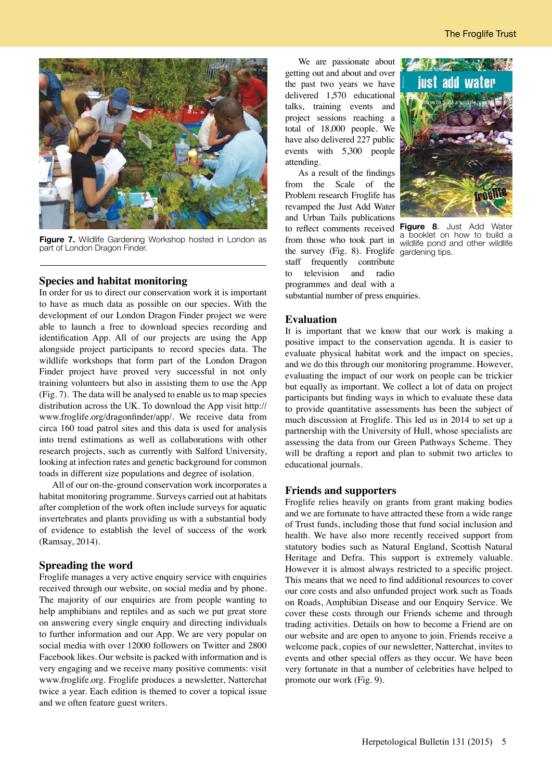

**Figure 7.** Wildlife Gardening Workshop hosted in London as part of London Dragon Finder.

## **Species and habitat monitoring**

In order for us to direct our conservation work it is important to have as much data as possible on our species. With the development of our London Dragon Finder project we were able to launch a free to download species recording and identification App. All of our projects are using the App alongside project participants to record species data. The wildlife workshops that form part of the London Dragon Finder project have proved very successful in not only training volunteers but also in assisting them to use the App (Fig. 7). The data will be analysed to enable us to map species distribution across the UK. To download the App visit http:// www.froglife.org/dragonfinder/app/. We receive data from circa 160 toad patrol sites and this data is used for analysis into trend estimations as well as collaborations with other research projects, such as currently with Salford University, looking at infection rates and genetic background for common toads in different size populations and degree of isolation.

All of our on-the-ground conservation work incorporates a habitat monitoring programme. Surveys carried out at habitats after completion of the work often include surveys for aquatic invertebrates and plants providing us with a substantial body of evidence to establish the level of success of the work (Ramsay, 2014).

## **Spreading the word**

Froglife manages a very active enquiry service with enquiries received through our website, on social media and by phone. The majority of our enquiries are from people wanting to help amphibians and reptiles and as such we put great store on answering every single enquiry and directing individuals to further information and our App. We are very popular on social media with over 12000 followers on Twitter and 2800 Facebook likes. Our website is packed with information and is very engaging and we receive many positive comments: visit www.froglife.org. Froglife produces a newsletter, Natterchat twice a year. Each edition is themed to cover a topical issue and we often feature guest writers.

We are passionate about getting out and about and over the past two years we have delivered 1,570 educational talks, training events and project sessions reaching a total of 18,000 people. We have also delivered 227 public events with 5,300 people attending.

As a result of the findings from the Scale of the Problem research Froglife has revamped the Just Add Water and Urban Tails publications to reflect comments received **Figure 8**. Just Add Water to reflect comments received a booklet on how to build a from those who took part in wildlife pond and other wildlife the survey (Fig. 8). Froglife gardening tips.staff frequently contribute to television and radio programmes and deal with a substantial number of press enquiries.



wildlife pond and other wildlife

#### **Evaluation**

It is important that we know that our work is making a positive impact to the conservation agenda. It is easier to evaluate physical habitat work and the impact on species, and we do this through our monitoring programme. However, evaluating the impact of our work on people can be trickier but equally as important. We collect a lot of data on project participants but finding ways in which to evaluate these data to provide quantitative assessments has been the subject of much discussion at Froglife. This led us in 2014 to set up a partnership with the University of Hull, whose specialists are assessing the data from our Green Pathways Scheme. They will be drafting a report and plan to submit two articles to educational journals.

#### **Friends and supporters**

Froglife relies heavily on grants from grant making bodies and we are fortunate to have attracted these from a wide range of Trust funds, including those that fund social inclusion and health. We have also more recently received support from statutory bodies such as Natural England, Scottish Natural Heritage and Defra. This support is extremely valuable. However it is almost always restricted to a specific project. This means that we need to find additional resources to cover our core costs and also unfunded project work such as Toads on Roads, Amphibian Disease and our Enquiry Service. We cover these costs through our Friends scheme and through trading activities. Details on how to become a Friend are on our website and are open to anyone to join. Friends receive a welcome pack, copies of our newsletter, Natterchat, invites to events and other special offers as they occur. We have been very fortunate in that a number of celebrities have helped to promote our work (Fig. 9).